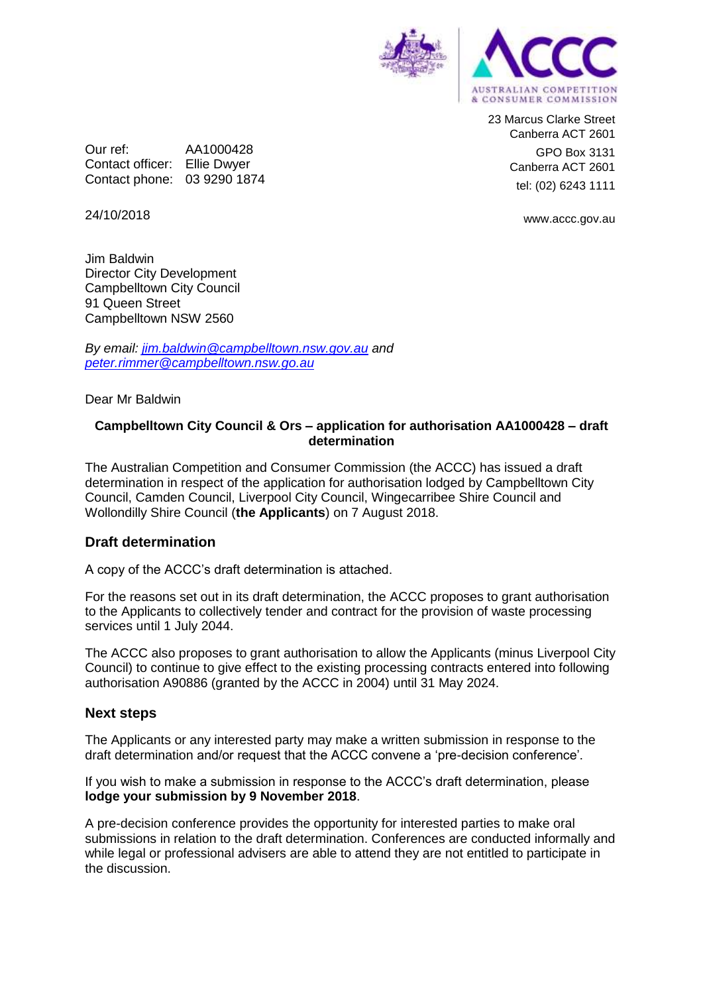

23 Marcus Clarke Street Canberra ACT 2601 GPO Box 3131 Canberra ACT 2601 tel: (02) 6243 1111

www.accc.gov.au

24/10/2018

Jim Baldwin Director City Development Campbelltown City Council 91 Queen Street Campbelltown NSW 2560

Our ref: AA1000428 Contact officer: Ellie Dwyer Contact phone: 03 9290 1874

*By email: [jim.baldwin@campbelltown.nsw.gov.au](mailto:jim.baldwin@campbelltown.nsw.gov.au) and [peter.rimmer@campbelltown.nsw.go.au](mailto:peter.rimmer@campbelltown.nsw.go.au)*

Dear Mr Baldwin

## **Campbelltown City Council & Ors – application for authorisation AA1000428 – draft determination**

The Australian Competition and Consumer Commission (the ACCC) has issued a draft determination in respect of the application for authorisation lodged by Campbelltown City Council, Camden Council, Liverpool City Council, Wingecarribee Shire Council and Wollondilly Shire Council (**the Applicants**) on 7 August 2018.

## **Draft determination**

A copy of the ACCC's draft determination is attached.

For the reasons set out in its draft determination, the ACCC proposes to grant authorisation to the Applicants to collectively tender and contract for the provision of waste processing services until 1 July 2044.

The ACCC also proposes to grant authorisation to allow the Applicants (minus Liverpool City Council) to continue to give effect to the existing processing contracts entered into following authorisation A90886 (granted by the ACCC in 2004) until 31 May 2024.

## **Next steps**

The Applicants or any interested party may make a written submission in response to the draft determination and/or request that the ACCC convene a 'pre-decision conference'.

If you wish to make a submission in response to the ACCC's draft determination, please **lodge your submission by 9 November 2018**.

A pre-decision conference provides the opportunity for interested parties to make oral submissions in relation to the draft determination. Conferences are conducted informally and while legal or professional advisers are able to attend they are not entitled to participate in the discussion.